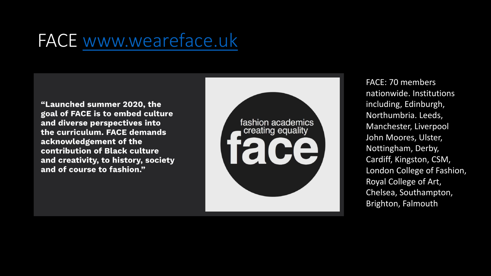## FACE [www.weareface.uk](http://www.weareface.uk/)

"Launched summer 2020, the goal of FACE is to embed culture and diverse perspectives into the curriculum. FACE demands acknowledgement of the contribution of Black culture and creativity, to history, society and of course to fashion."



FACE: 70 members nationwide. Institutions including, Edinburgh, Northumbria. Leeds, Manchester, Liverpool John Moores, Ulster, Nottingham, Derby, Cardiff, Kingston, CSM, London College of Fashion, Royal College of Art, Chelsea, Southampton, Brighton, Falmouth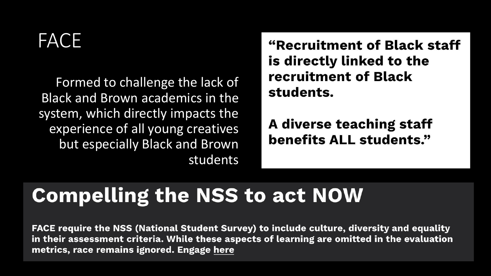## **FACE!**

Formed to challenge the lack of Black and Brown academics in the system, which directly impacts the experience of all young creatives but especially Black and Brown students "Recruitment of Black staff is directly linked to the recruitment of Black students.

A diverse teaching staff benefits ALL students."

## **Compelling the NSS to act NOW**

FACE require the NSS (National Student Survey) to include culture, diversity and equality in their assessment criteria. While these aspects of learning are omitted in the evaluation metrics, race remains ignored. Engage here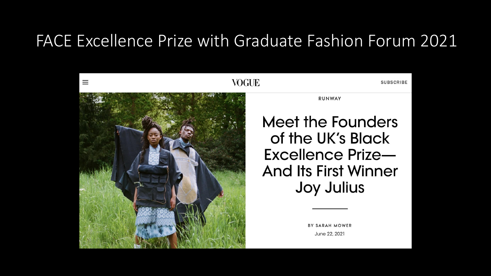#### FACE Excellence Prize with Graduate Fashion Forum 2021

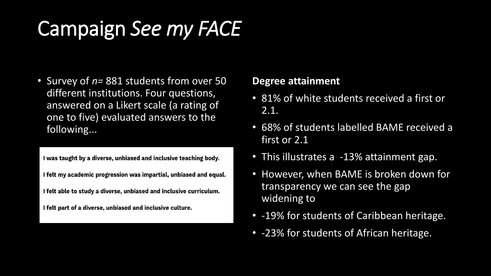# Campaign *See my FACE*

• Survey of *n=* 881 students from over 50 different institutions. Four questions, answered on a Likert scale (a rating of one to five) evaluated answers to the following...

I was taught by a diverse, unbiased and inclusive teaching body.

- I felt my academic progression was impartial, unbiased and equal.
- I felt able to study a diverse, unbiased and inclusive curriculum.

I felt part of a diverse, unbiased and inclusive culture.

#### **Degree attainment**

- 81% of white students received a first or 2.1.
- 68% of students labelled BAME received a first or 2.1
- This illustrates a -13% attainment gap.
- However, when BAME is broken down for transparency we can see the gap widening to
- -19% for students of Caribbean heritage.
- -23% for students of African heritage.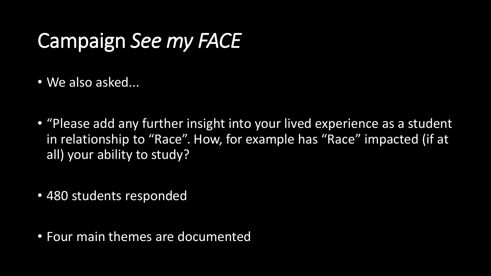## Campaign *See my FACE*

- We also asked...
- "Please add any further insight into your lived experience as a student in relationship to "Race". How, for example has "Race" impacted (if at all) your ability to study?
- 480 students responded
- Four main themes are documented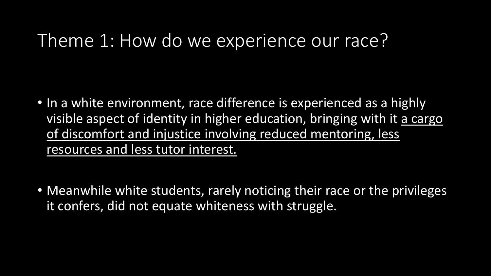### Theme 1: How do we experience our race?

- In a white environment, race difference is experienced as a highly visible aspect of identity in higher education, bringing with it a cargo of discomfort and injustice involving reduced mentoring, less resources and less tutor interest.
- Meanwhile white students, rarely noticing their race or the privileges it confers, did not equate whiteness with struggle.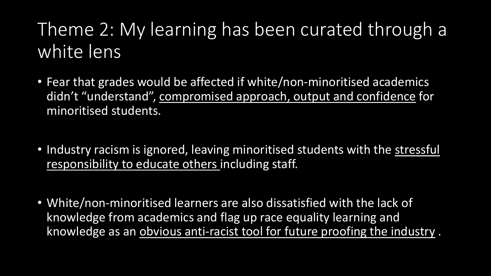## Theme 2: My learning has been curated through a white lens

- Fear that grades would be affected if white/non-minoritised academics didn't "understand", compromised approach, output and confidence for minoritised students.
- Industry racism is ignored, leaving minoritised students with the stressful responsibility to educate others including staff.
- White/non-minoritised learners are also dissatisfied with the lack of knowledge from academics and flag up race equality learning and knowledge as an obvious anti-racist tool for future proofing the industry .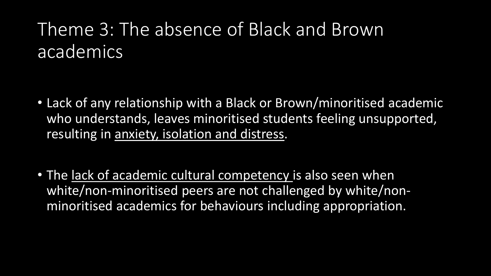## Theme 3: The absence of Black and Brown academics

- Lack of any relationship with a Black or Brown/minoritised academic who understands, leaves minoritised students feeling unsupported, resulting in anxiety, isolation and distress.
- The lack of academic cultural competency is also seen when white/non-minoritised peers are not challenged by white/nonminoritised academics for behaviours including appropriation.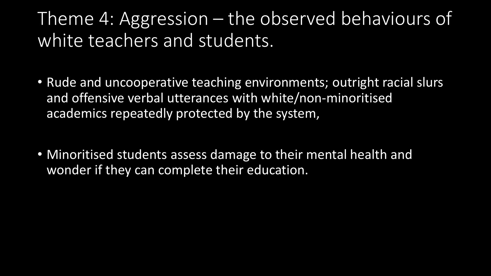## Theme 4: Aggression – the observed behaviours of white teachers and students.

- Rude and uncooperative teaching environments; outright racial slurs and offensive verbal utterances with white/non-minoritised academics repeatedly protected by the system,
- Minoritised students assess damage to their mental health and wonder if they can complete their education.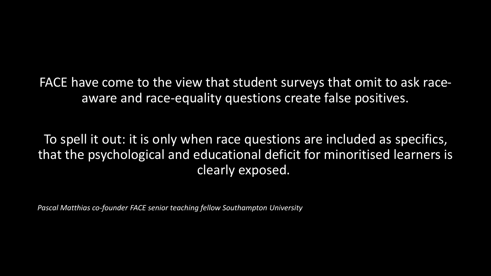FACE have come to the view that student surveys that omit to ask raceaware and race-equality questions create false positives.

To spell it out: it is only when race questions are included as specifics, that the psychological and educational deficit for minoritised learners is clearly exposed.

*Pascal Matthias co-founder FACE senior teaching fellow Southampton University*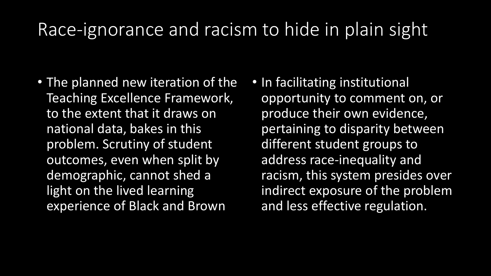## Race-ignorance and racism to hide in plain sight

- The planned new iteration of the Teaching Excellence Framework, to the extent that it draws on national data, bakes in this problem. Scrutiny of student outcomes, even when split by demographic, cannot shed a light on the lived learning experience of Black and Brown
- In facilitating institutional opportunity to comment on, or produce their own evidence, pertaining to disparity between different student groups to address race-inequality and racism, this system presides over indirect exposure of the problem and less effective regulation.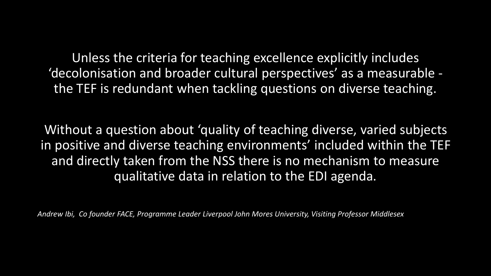Unless the criteria for teaching excellence explicitly includes 'decolonisation and broader cultural perspectives' as a measurable the TEF is redundant when tackling questions on diverse teaching.

Without a question about 'quality of teaching diverse, varied subjects in positive and diverse teaching environments' included within the TEF and directly taken from the NSS there is no mechanism to measure qualitative data in relation to the EDI agenda.

*Andrew Ibi, Co founder FACE, Programme Leader Liverpool John Mores University, Visiting Professor Middlesex*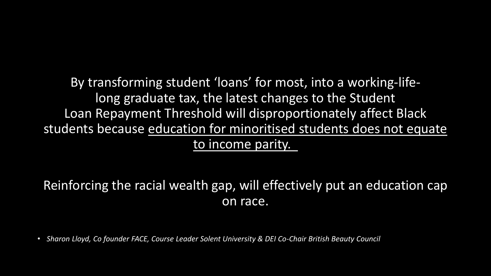By transforming student 'loans' for most, into a working-lifelong graduate tax, the latest changes to the Student Loan Repayment Threshold will disproportionately affect Black students because education for minoritised students does not equate to income parity.

#### Reinforcing the racial wealth gap, will effectively put an education cap on race.

• *Sharon Lloyd, Co founder FACE, Course Leader Solent University & DEI Co-Chair British Beauty Council*